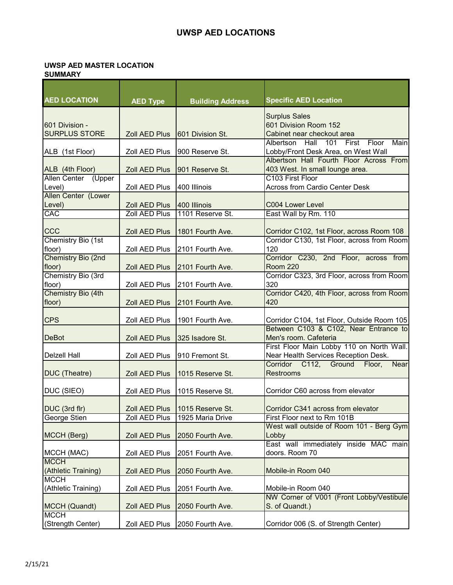## **UWSP AED LOCATIONS**

## **UWSP AED MASTER LOCATION**

| <b>SUMMARY</b> |  |
|----------------|--|
|----------------|--|

| <b>AED LOCATION</b>                 |                      |                                  |                                                                          |
|-------------------------------------|----------------------|----------------------------------|--------------------------------------------------------------------------|
|                                     | <b>AED Type</b>      | <b>Building Address</b>          | <b>Specific AED Location</b>                                             |
|                                     |                      |                                  | <b>Surplus Sales</b>                                                     |
| 601 Division -                      |                      |                                  | 601 Division Room 152                                                    |
| <b>SURPLUS STORE</b>                | Zoll AED Plus        | 601 Division St.                 | Cabinet near checkout area                                               |
|                                     |                      |                                  | Albertson<br>Hall<br>101<br>First<br>Floor<br>$\overline{\mathsf{Main}}$ |
| ALB (1st Floor)                     | Zoll AED Plus        | 900 Reserve St.                  | Lobby/Front Desk Area, on West Wall                                      |
|                                     |                      |                                  | Albertson Hall Fourth Floor Across From                                  |
| ALB (4th Floor)                     | <b>Zoll AED Plus</b> | 901 Reserve St.                  | 403 West. In small lounge area.                                          |
| <b>Allen Center</b><br>(Upper       |                      |                                  | C103 First Floor                                                         |
| Level)                              | Zoll AED Plus        | 400 Illinois                     | <b>Across from Cardio Center Desk</b>                                    |
| Allen Center (Lower                 |                      |                                  |                                                                          |
| Level)                              | Zoll AED Plus        | 400 Illinois                     | C004 Lower Level                                                         |
| CAC                                 | Zoll AED Plus        | 1101 Reserve St.                 | East Wall by Rm. 110                                                     |
|                                     |                      |                                  |                                                                          |
| CCC                                 | <b>Zoll AED Plus</b> | 1801 Fourth Ave.                 | Corridor C102, 1st Floor, across Room 108                                |
| Chemistry Bio (1st                  |                      |                                  | Corridor C130, 1st Floor, across from Room<br>120                        |
| floor)<br><b>Chemistry Bio (2nd</b> | Zoll AED Plus        | 2101 Fourth Ave.                 | Corridor C230, 2nd Floor, across from                                    |
| floor)                              | <b>Zoll AED Plus</b> | 2101 Fourth Ave.                 | <b>Room 220</b>                                                          |
| Chemistry Bio (3rd                  |                      |                                  | Corridor C323, 3rd Floor, across from Room                               |
| floor)                              | Zoll AED Plus        | 2101 Fourth Ave.                 | 320                                                                      |
| Chemistry Bio (4th                  |                      |                                  | Corridor C420, 4th Floor, across from Room                               |
| floor)                              | <b>Zoll AED Plus</b> | 2101 Fourth Ave.                 | 420                                                                      |
|                                     |                      |                                  |                                                                          |
| <b>CPS</b>                          | Zoll AED Plus        | 1901 Fourth Ave.                 | Corridor C104, 1st Floor, Outside Room 105                               |
|                                     |                      |                                  | Between C103 & C102, Near Entrance to                                    |
| <b>DeBot</b>                        | <b>Zoll AED Plus</b> | 325 Isadore St.                  | Men's room. Cafeteria                                                    |
|                                     |                      |                                  | First Floor Main Lobby 110 on North Wall.                                |
| <b>Delzell Hall</b>                 | Zoll AED Plus        | 910 Fremont St.                  | Near Health Services Reception Desk.                                     |
|                                     |                      |                                  | Corridor C112, Ground<br>Floor,<br><b>Near</b>                           |
| DUC (Theatre)                       | <b>Zoll AED Plus</b> | 1015 Reserve St.                 | Restrooms                                                                |
|                                     |                      |                                  |                                                                          |
| DUC (SIEO)                          | Zoll AED Plus        | 1015 Reserve St.                 | Corridor C60 across from elevator                                        |
|                                     |                      |                                  |                                                                          |
| DUC (3rd flr)                       |                      | Zoll AED Plus   1015 Reserve St. | Corridor C341 across from elevator                                       |
| George Stien                        | Zoll AED Plus        | 1925 Maria Drive                 | First Floor next to Rm 101B                                              |
|                                     |                      |                                  | West wall outside of Room 101 - Berg Gym                                 |
| MCCH (Berg)                         | <b>Zoll AED Plus</b> | 2050 Fourth Ave.                 | Lobby                                                                    |
|                                     |                      |                                  | East wall immediately inside MAC main                                    |
| MCCH (MAC)                          | Zoll AED Plus        | 2051 Fourth Ave.                 | doors. Room 70                                                           |
| <b>MCCH</b>                         |                      |                                  |                                                                          |
| (Athletic Training)                 | Zoll AED Plus        | 2050 Fourth Ave.                 | Mobile-in Room 040                                                       |
| <b>MCCH</b><br>(Athletic Training)  |                      |                                  | Mobile-in Room 040                                                       |
|                                     | Zoll AED Plus        | 2051 Fourth Ave.                 | NW Corner of V001 (Front Lobby/Vestibule)                                |
| MCCH (Quandt)                       | Zoll AED Plus        | 2050 Fourth Ave.                 | S. of Quandt.)                                                           |
| <b>MCCH</b>                         |                      |                                  |                                                                          |
| (Strength Center)                   | Zoll AED Plus        | 2050 Fourth Ave.                 | Corridor 006 (S. of Strength Center)                                     |
|                                     |                      |                                  |                                                                          |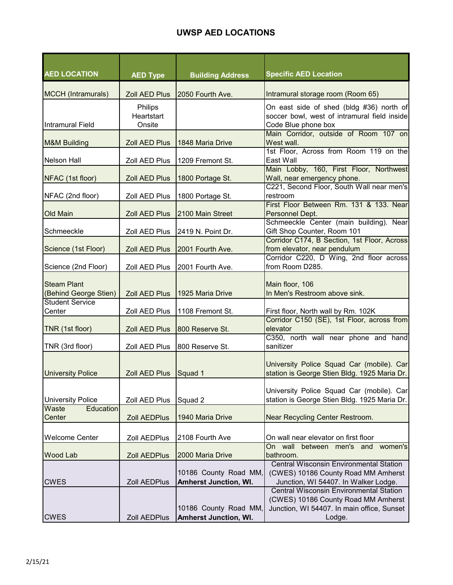## **UWSP AED LOCATIONS**

| <b>AED LOCATION</b>                         | <b>AED Type</b>                 | <b>Building Address</b>                               | <b>Specific AED Location</b>                                                                                                                                                    |
|---------------------------------------------|---------------------------------|-------------------------------------------------------|---------------------------------------------------------------------------------------------------------------------------------------------------------------------------------|
| <b>MCCH</b> (Intramurals)                   | <b>Zoll AED Plus</b>            | 2050 Fourth Ave.                                      | Intramural storage room (Room 65)                                                                                                                                               |
| <b>Intramural Field</b>                     | Philips<br>Heartstart<br>Onsite |                                                       | On east side of shed (bldg #36) north of<br>soccer bowl, west of intramural field inside<br>Code Blue phone box                                                                 |
| <b>M&amp;M Building</b>                     | <b>Zoll AED Plus</b>            | 1848 Maria Drive                                      | Main Corridor, outside of Room 107 on<br>West wall.                                                                                                                             |
| <b>Nelson Hall</b>                          | Zoll AED Plus                   | 1209 Fremont St.                                      | 1st Floor, Across from Room 119 on the<br>East Wall                                                                                                                             |
| NFAC (1st floor)                            | <b>Zoll AED Plus</b>            | 1800 Portage St.                                      | Main Lobby, 160, First Floor, Northwest<br>Wall, near emergency phone.<br>C221, Second Floor, South Wall near men's                                                             |
| NFAC (2nd floor)                            | Zoll AED Plus                   | 1800 Portage St.                                      | restroom<br>First Floor Between Rm. 131 & 133. Near                                                                                                                             |
| <b>Old Main</b>                             | <b>Zoll AED Plus</b>            | 2100 Main Street                                      | Personnel Dept.                                                                                                                                                                 |
| Schmeeckle                                  | Zoll AED Plus                   | 2419 N. Point Dr.                                     | Schmeeckle Center (main building). Near<br>Gift Shop Counter, Room 101                                                                                                          |
| Science (1st Floor)                         | <b>Zoll AED Plus</b>            | 2001 Fourth Ave.                                      | Corridor C174, B Section, 1st Floor, Across<br>from elevator, near pendulum                                                                                                     |
| Science (2nd Floor)                         | Zoll AED Plus                   | 2001 Fourth Ave.                                      | Corridor C220, D Wing, 2nd floor across<br>from Room D285.                                                                                                                      |
| <b>Steam Plant</b><br>(Behind George Stien) | <b>Zoll AED Plus</b>            | 1925 Maria Drive                                      | Main floor, 106<br>In Men's Restroom above sink.                                                                                                                                |
| <b>Student Service</b><br>Center            | Zoll AED Plus                   | 1108 Fremont St.                                      | First floor, North wall by Rm. 102K                                                                                                                                             |
| TNR (1st floor)                             | Zoll AED Plus                   | 800 Reserve St.                                       | Corridor C150 (SE), 1st Floor, across from<br>elevator                                                                                                                          |
| TNR (3rd floor)                             | Zoll AED Plus                   | 800 Reserve St.                                       | C350, north wall near phone and hand<br>sanitizer                                                                                                                               |
| <b>University Police</b>                    | <b>Zoll AED Plus</b>            | Squad 1                                               | University Police Squad Car (mobile). Car<br>station is George Stien Bldg. 1925 Maria Dr.                                                                                       |
| <b>University Police</b>                    | Zoll AED Plus                   | Squad 2                                               | University Police Squad Car (mobile). Car<br>station is George Stien Bldg. 1925 Maria Dr.                                                                                       |
| Waste<br>Education<br>Center                | <b>Zoll AEDPlus</b>             | 1940 Maria Drive                                      | Near Recycling Center Restroom.                                                                                                                                                 |
| <b>Welcome Center</b>                       | Zoll AEDPlus                    | 2108 Fourth Ave                                       | On wall near elevator on first floor                                                                                                                                            |
| Wood Lab                                    | <b>Zoll AEDPlus</b>             | 2000 Maria Drive                                      | On wall between men's and women's<br>bathroom.                                                                                                                                  |
| <b>CWES</b>                                 | Zoll AEDPlus                    | 10186 County Road MM,<br><b>Amherst Junction, WI.</b> | <b>Central Wisconsin Environmental Station</b><br>(CWES) 10186 County Road MM Amherst<br>Junction, WI 54407. In Walker Lodge.<br><b>Central Wisconsin Environmental Station</b> |
| <b>CWES</b>                                 | Zoll AEDPlus                    | 10186 County Road MM,<br><b>Amherst Junction, WI.</b> | (CWES) 10186 County Road MM Amherst<br>Junction, WI 54407. In main office, Sunset<br>Lodge.                                                                                     |